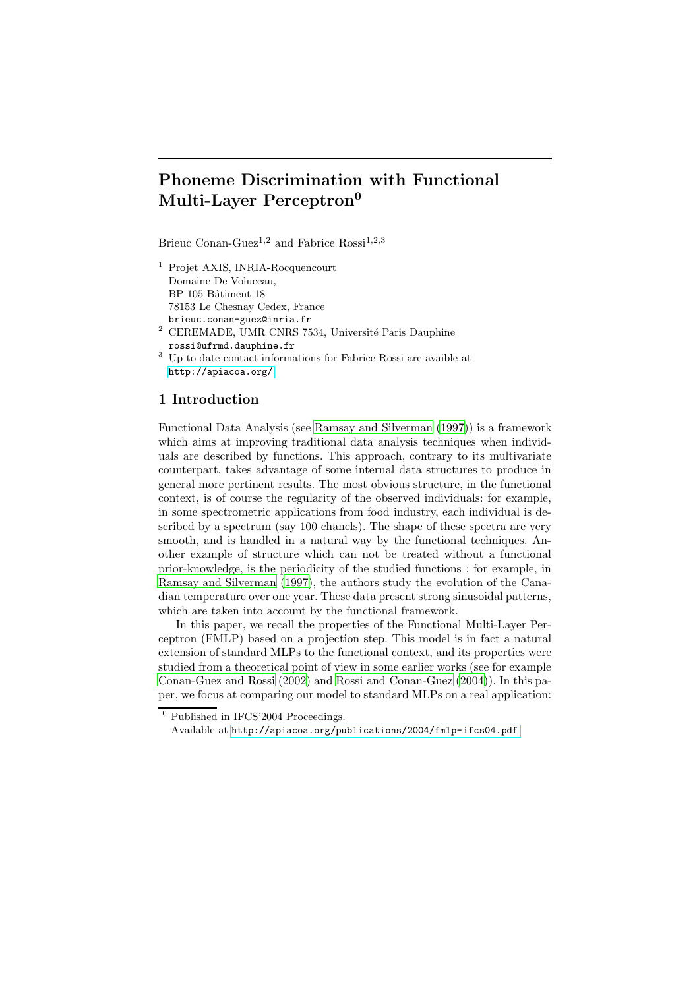# Phoneme Discrimination with Functional Multi-Layer Perceptron<sup>0</sup>

Brieuc Conan-Guez<sup>1,2</sup> and Fabrice Rossi<sup>1,2,3</sup>

- <sup>1</sup> Projet AXIS, INRIA-Rocquencourt Domaine De Voluceau, BP 105 Bâtiment 18 78153 Le Chesnay Cedex, France brieuc.conan-guez@inria.fr
- <sup>2</sup> CEREMADE, UMR CNRS 7534, Université Paris Dauphine rossi@ufrmd.dauphine.fr
- <sup>3</sup> Up to date contact informations for Fabrice Rossi are avaible at <http://apiacoa.org/>

# 1 Introduction

Functional Data Analysis (see Ramsay and [Silverman](#page-7-0) [\(1997](#page-7-0))) is a framework which aims at improving traditional data analysis techniques when individuals are described by functions. This approach, contrary to its multivariate counterpart, takes advantage of some internal data structures to produce in general more pertinent results. The most obvious structure, in the functional context, is of course the regularity of the observed individuals: for example, in some spectrometric applications from food industry, each individual is described by a spectrum (say 100 chanels). The shape of these spectra are very smooth, and is handled in a natural way by the functional techniques. Another example of structure which can not be treated without a functional prior-knowledge, is the periodicity of the studied functions : for example, in Ramsay and [Silverman](#page-7-0) [\(1997\)](#page-7-0), the authors study the evolution of the Canadian temperature over one year. These data present strong sinusoidal patterns, which are taken into account by the functional framework.

In this paper, we recall the properties of the Functional Multi-Layer Perceptron (FMLP) based on a projection step. This model is in fact a natural extension of standard MLPs to the functional context, and its properties were studied from a theoretical point of view in some earlier works (see for example [Conan-Guez](#page-7-1) and Rossi [\(2002\)](#page-7-1) and Rossi and [Conan-Guez](#page-7-2) [\(2004\)](#page-7-2)). In this paper, we focus at comparing our model to standard MLPs on a real application:

<sup>&</sup>lt;sup>0</sup> Published in IFCS'2004 Proceedings.

Available at <http://apiacoa.org/publications/2004/fmlp-ifcs04.pdf>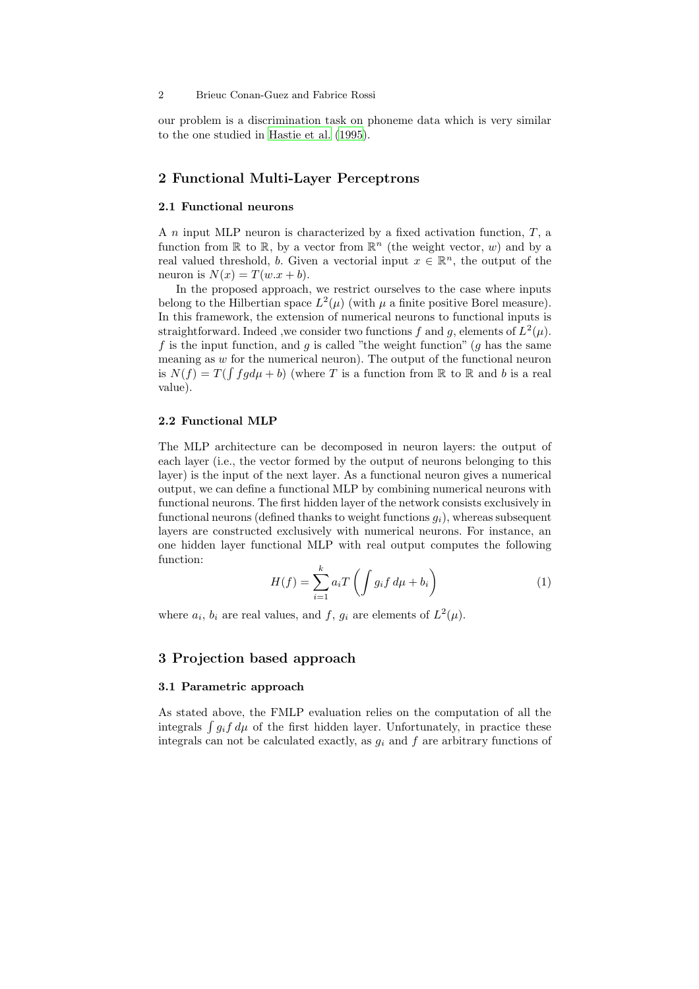#### 2 Brieuc Conan-Guez and Fabrice Rossi

our problem is a discrimination task on phoneme data which is very similar to the one studied in [Hastie](#page-7-3) et al. [\(1995\)](#page-7-3).

# 2 Functional Multi-Layer Perceptrons

#### 2.1 Functional neurons

A  $n$  input MLP neuron is characterized by a fixed activation function,  $T$ , a function from  $\mathbb R$  to  $\mathbb R$ , by a vector from  $\mathbb R^n$  (the weight vector, w) and by a real valued threshold, b. Given a vectorial input  $x \in \mathbb{R}^n$ , the output of the neuron is  $N(x) = T(w.x + b)$ .

In the proposed approach, we restrict ourselves to the case where inputs belong to the Hilbertian space  $L^2(\mu)$  (with  $\mu$  a finite positive Borel measure). In this framework, the extension of numerical neurons to functional inputs is straightforward. Indeed , we consider two functions f and g, elements of  $L^2(\mu)$ . f is the input function, and q is called "the weight function" (q has the same meaning as  $w$  for the numerical neuron). The output of the functional neuron is  $N(f) = T(\int f g d\mu + b)$  (where T is a function from R to R and b is a real value).

#### 2.2 Functional MLP

The MLP architecture can be decomposed in neuron layers: the output of each layer (i.e., the vector formed by the output of neurons belonging to this layer) is the input of the next layer. As a functional neuron gives a numerical output, we can define a functional MLP by combining numerical neurons with functional neurons. The first hidden layer of the network consists exclusively in functional neurons (defined thanks to weight functions  $g_i$ ), whereas subsequent layers are constructed exclusively with numerical neurons. For instance, an one hidden layer functional MLP with real output computes the following function:

$$
H(f) = \sum_{i=1}^{k} a_i T\left(\int g_i f \, d\mu + b_i\right) \tag{1}
$$

where  $a_i$ ,  $b_i$  are real values, and f,  $g_i$  are elements of  $L^2(\mu)$ .

# 3 Projection based approach

### <span id="page-1-0"></span>3.1 Parametric approach

As stated above, the FMLP evaluation relies on the computation of all the integrals  $\int g_i f d\mu$  of the first hidden layer. Unfortunately, in practice these integrals can not be calculated exactly, as  $q_i$  and f are arbitrary functions of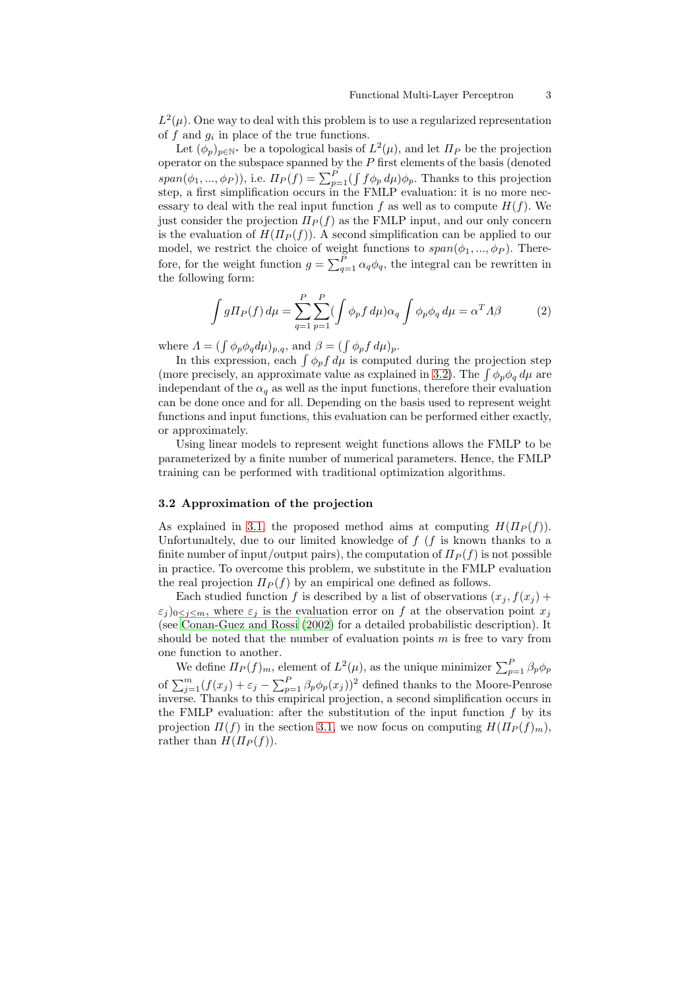$L^2(\mu)$ . One way to deal with this problem is to use a regularized representation of  $f$  and  $g_i$  in place of the true functions.

Let  $(\phi_p)_{p \in \mathbb{N}^*}$  be a topological basis of  $L^2(\mu)$ , and let  $\Pi_P$  be the projection operator on the subspace spanned by the  $P$  first elements of the basis (denoted span( $\phi_1, ..., \phi_P$ )), i.e.  $\Pi_P(f) = \sum_{p=1}^P (\int f \phi_p d\mu) \phi_p$ . Thanks to this projection step, a first simplification occurs in the FMLP evaluation: it is no more necessary to deal with the real input function f as well as to compute  $H(f)$ . We just consider the projection  $\prod_P(f)$  as the FMLP input, and our only concern is the evaluation of  $H(\Pi_P(f))$ . A second simplification can be applied to our model, we restrict the choice of weight functions to  $span(\phi_1, ..., \phi_P)$ . Therefore, for the weight function  $g = \sum_{q=1}^{P} \alpha_q \phi_q$ , the integral can be rewritten in the following form:

$$
\int g \Pi_P(f) \, d\mu = \sum_{q=1}^P \sum_{p=1}^P (\int \phi_p f \, d\mu) \alpha_q \int \phi_p \phi_q \, d\mu = \alpha^T \Lambda \beta \tag{2}
$$

where  $\Lambda = (\int \phi_p \phi_q d\mu)_{p,q}$ , and  $\beta = (\int \phi_p f d\mu)_p$ .

In this expression, each  $\int \phi_p f d\mu$  is computed during the projection step (more precisely, an approximate value as explained in [3.2\)](#page-2-0). The  $\int \phi_p \phi_q d\mu$  are independant of the  $\alpha_q$  as well as the input functions, therefore their evaluation can be done once and for all. Depending on the basis used to represent weight functions and input functions, this evaluation can be performed either exactly, or approximately.

Using linear models to represent weight functions allows the FMLP to be parameterized by a finite number of numerical parameters. Hence, the FMLP training can be performed with traditional optimization algorithms.

#### <span id="page-2-0"></span>3.2 Approximation of the projection

As explained in [3.1,](#page-1-0) the proposed method aims at computing  $H(\Pi_P(f)).$ Unfortunaltely, due to our limited knowledge of  $f$  ( $f$  is known thanks to a finite number of input/output pairs), the computation of  $\Pi_P(f)$  is not possible in practice. To overcome this problem, we substitute in the FMLP evaluation the real projection  $\prod_P(f)$  by an empirical one defined as follows.

Each studied function f is described by a list of observations  $(x_i, f(x_i) +$  $\varepsilon_j$ )<sub>0</sub>≤j≤m, where  $\varepsilon_j$  is the evaluation error on f at the observation point  $x_j$ (see [Conan-Guez](#page-7-1) and Rossi [\(2002\)](#page-7-1) for a detailed probabilistic description). It should be noted that the number of evaluation points  $m$  is free to vary from one function to another.

We define  $\Pi_P(f)_m$ , element of  $L^2(\mu)$ , as the unique minimizer  $\sum_{p=1}^P \beta_p \phi_p$ of  $\sum_{j=1}^{m} (f(x_j) + \varepsilon_j - \sum_{p=1}^{P} \beta_p \phi_p(x_j))^2$  defined thanks to the Moore-Penrose inverse. Thanks to this empirical projection, a second simplification occurs in the FMLP evaluation: after the substitution of the input function  $f$  by its projection  $\Pi(f)$  in the section [3.1,](#page-1-0) we now focus on computing  $H(\Pi_P(f)_m)$ , rather than  $H(\Pi_P(f))$ .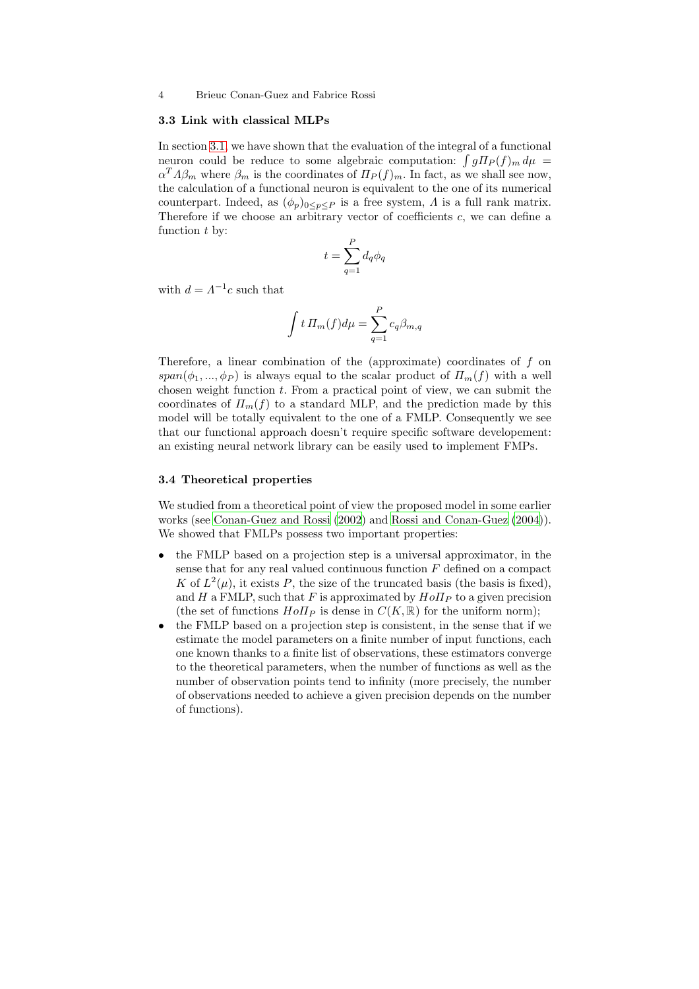#### <span id="page-3-1"></span>4 Brieuc Conan-Guez and Fabrice Rossi

#### 3.3 Link with classical MLPs

In section [3.1,](#page-1-0) we have shown that the evaluation of the integral of a functional neuron could be reduce to some algebraic computation:  $\int g \Pi_P(f)_m d\mu =$  $\alpha^T A \beta_m$  where  $\beta_m$  is the coordinates of  $\Pi_P(f)_m$ . In fact, as we shall see now, the calculation of a functional neuron is equivalent to the one of its numerical counterpart. Indeed, as  $(\phi_p)_{0\leq p\leq P}$  is a free system,  $\Lambda$  is a full rank matrix. Therefore if we choose an arbitrary vector of coefficients c, we can define a function  $t$  by:

$$
t=\sum_{q=1}^P d_q \phi_q
$$

with  $d = \Lambda^{-1}c$  such that

$$
\int t \, \varPi_m(f) d\mu = \sum_{q=1}^P c_q \beta_{m,q}
$$

Therefore, a linear combination of the (approximate) coordinates of  $f$  on  $span(\phi_1, ..., \phi_P)$  is always equal to the scalar product of  $\Pi_m(f)$  with a well chosen weight function  $t$ . From a practical point of view, we can submit the coordinates of  $\Pi_m(f)$  to a standard MLP, and the prediction made by this model will be totally equivalent to the one of a FMLP. Consequently we see that our functional approach doesn't require specific software developement: an existing neural network library can be easily used to implement FMPs.

#### <span id="page-3-0"></span>3.4 Theoretical properties

We studied from a theoretical point of view the proposed model in some earlier works (see [Conan-Guez](#page-7-1) and Rossi [\(2002\)](#page-7-1) and Rossi and [Conan-Guez](#page-7-2) [\(2004](#page-7-2))). We showed that FMLPs possess two important properties:

- the FMLP based on a projection step is a universal approximator, in the sense that for any real valued continuous function F defined on a compact K of  $L^2(\mu)$ , it exists P, the size of the truncated basis (the basis is fixed), and H a FMLP, such that F is approximated by  $Ho\Pi_P$  to a given precision (the set of functions  $H \circ \Pi_P$  is dense in  $C(K, \mathbb{R})$  for the uniform norm);
- the FMLP based on a projection step is consistent, in the sense that if we estimate the model parameters on a finite number of input functions, each one known thanks to a finite list of observations, these estimators converge to the theoretical parameters, when the number of functions as well as the number of observation points tend to infinity (more precisely, the number of observations needed to achieve a given precision depends on the number of functions).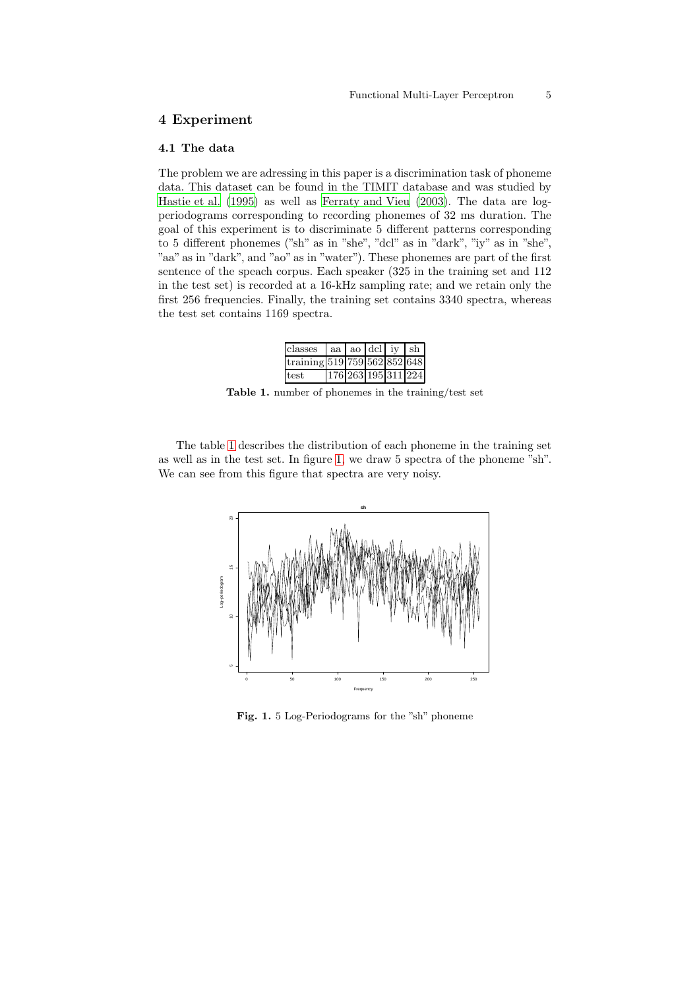# 4 Experiment

### 4.1 The data

The problem we are adressing in this paper is a discrimination task of phoneme data. This dataset can be found in the TIMIT database and was studied by [Hastie](#page-7-3) et al. [\(1995](#page-7-3)) as well as [Ferraty](#page-7-4) and Vieu [\(2003\)](#page-7-4). The data are logperiodograms corresponding to recording phonemes of 32 ms duration. The goal of this experiment is to discriminate 5 different patterns corresponding to 5 different phonemes ("sh" as in "she", "dcl" as in "dark", "iy" as in "she", "aa" as in "dark", and "ao" as in "water"). These phonemes are part of the first sentence of the speach corpus. Each speaker (325 in the training set and 112 in the test set) is recorded at a 16-kHz sampling rate; and we retain only the first 256 frequencies. Finally, the training set contains 3340 spectra, whereas the test set contains 1169 spectra.

| classes                      |                     | aa   ao   dcl   i <sub>V</sub>   sh |  |
|------------------------------|---------------------|-------------------------------------|--|
| training 519 759 562 852 648 |                     |                                     |  |
| test                         | 176 263 195 311 224 |                                     |  |

<span id="page-4-0"></span>Table 1. number of phonemes in the training/test set

The table [1](#page-4-0) describes the distribution of each phoneme in the training set as well as in the test set. In figure [1,](#page-4-1) we draw 5 spectra of the phoneme "sh". We can see from this figure that spectra are very noisy.



<span id="page-4-1"></span>Fig. 1. 5 Log-Periodograms for the "sh" phoneme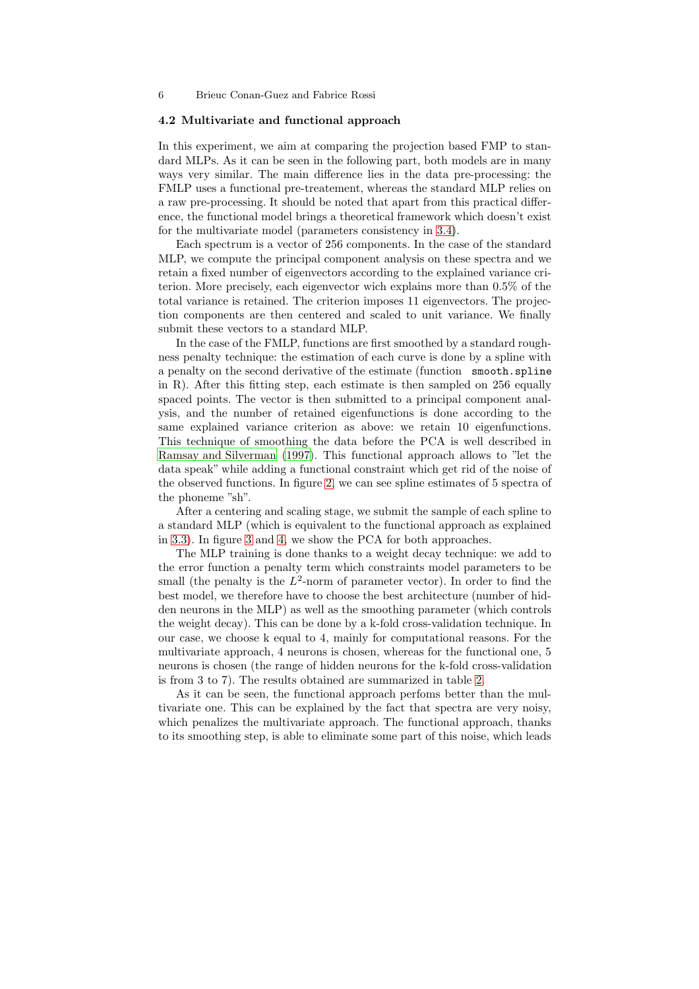#### 6 Brieuc Conan-Guez and Fabrice Rossi

### 4.2 Multivariate and functional approach

In this experiment, we aim at comparing the projection based FMP to standard MLPs. As it can be seen in the following part, both models are in many ways very similar. The main difference lies in the data pre-processing: the FMLP uses a functional pre-treatement, whereas the standard MLP relies on a raw pre-processing. It should be noted that apart from this practical difference, the functional model brings a theoretical framework which doesn't exist for the multivariate model (parameters consistency in [3.4\)](#page-3-0).

Each spectrum is a vector of 256 components. In the case of the standard MLP, we compute the principal component analysis on these spectra and we retain a fixed number of eigenvectors according to the explained variance criterion. More precisely, each eigenvector wich explains more than 0.5% of the total variance is retained. The criterion imposes 11 eigenvectors. The projection components are then centered and scaled to unit variance. We finally submit these vectors to a standard MLP.

In the case of the FMLP, functions are first smoothed by a standard roughness penalty technique: the estimation of each curve is done by a spline with a penalty on the second derivative of the estimate (function smooth.spline in R). After this fitting step, each estimate is then sampled on 256 equally spaced points. The vector is then submitted to a principal component analysis, and the number of retained eigenfunctions is done according to the same explained variance criterion as above: we retain 10 eigenfunctions. This technique of smoothing the data before the PCA is well described in Ramsay and [Silverman](#page-7-0) [\(1997\)](#page-7-0). This functional approach allows to "let the data speak" while adding a functional constraint which get rid of the noise of the observed functions. In figure [2,](#page-6-0) we can see spline estimates of 5 spectra of the phoneme "sh".

After a centering and scaling stage, we submit the sample of each spline to a standard MLP (which is equivalent to the functional approach as explained in [3.3\)](#page-3-1). In figure [3](#page-6-1) and [4,](#page-6-2) we show the PCA for both approaches.

The MLP training is done thanks to a weight decay technique: we add to the error function a penalty term which constraints model parameters to be small (the penalty is the  $L^2$ -norm of parameter vector). In order to find the best model, we therefore have to choose the best architecture (number of hidden neurons in the MLP) as well as the smoothing parameter (which controls the weight decay). This can be done by a k-fold cross-validation technique. In our case, we choose k equal to 4, mainly for computational reasons. For the multivariate approach, 4 neurons is chosen, whereas for the functional one, 5 neurons is chosen (the range of hidden neurons for the k-fold cross-validation is from 3 to 7). The results obtained are summarized in table [2.](#page-7-5)

As it can be seen, the functional approach perfoms better than the multivariate one. This can be explained by the fact that spectra are very noisy, which penalizes the multivariate approach. The functional approach, thanks to its smoothing step, is able to eliminate some part of this noise, which leads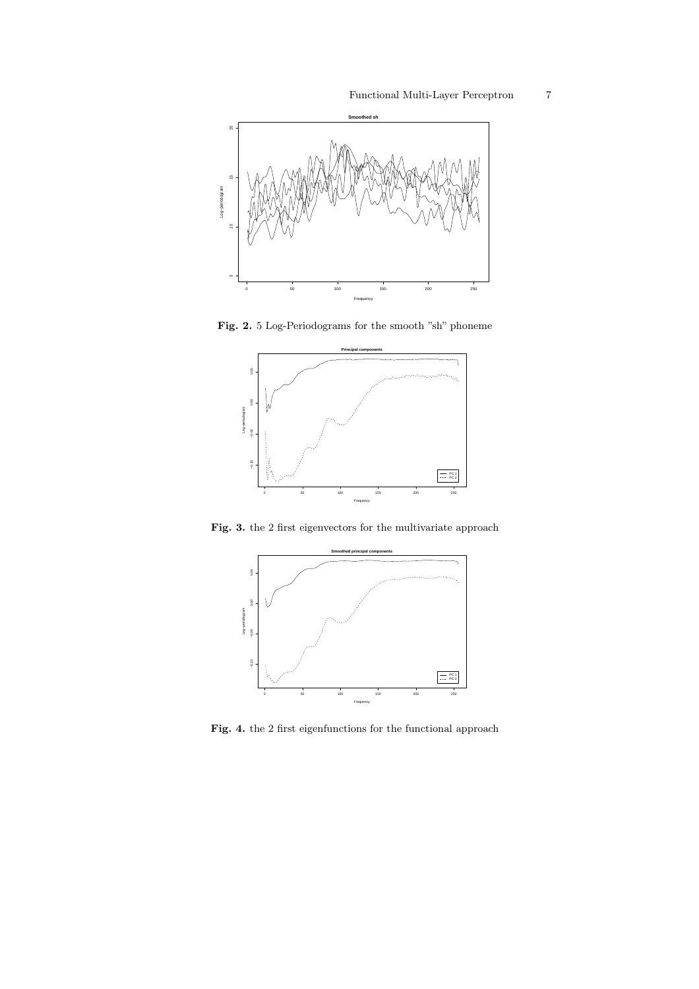

<span id="page-6-0"></span> ${\bf Fig. ~2. ~5}$  Log-Periodograms for the smooth "sh" phoneme



<span id="page-6-1"></span>Fig. 3. the 2 first eigenvectors for the multivariate approach



<span id="page-6-2"></span>Fig. 4. the 2 first eigenfunctions for the functional approach